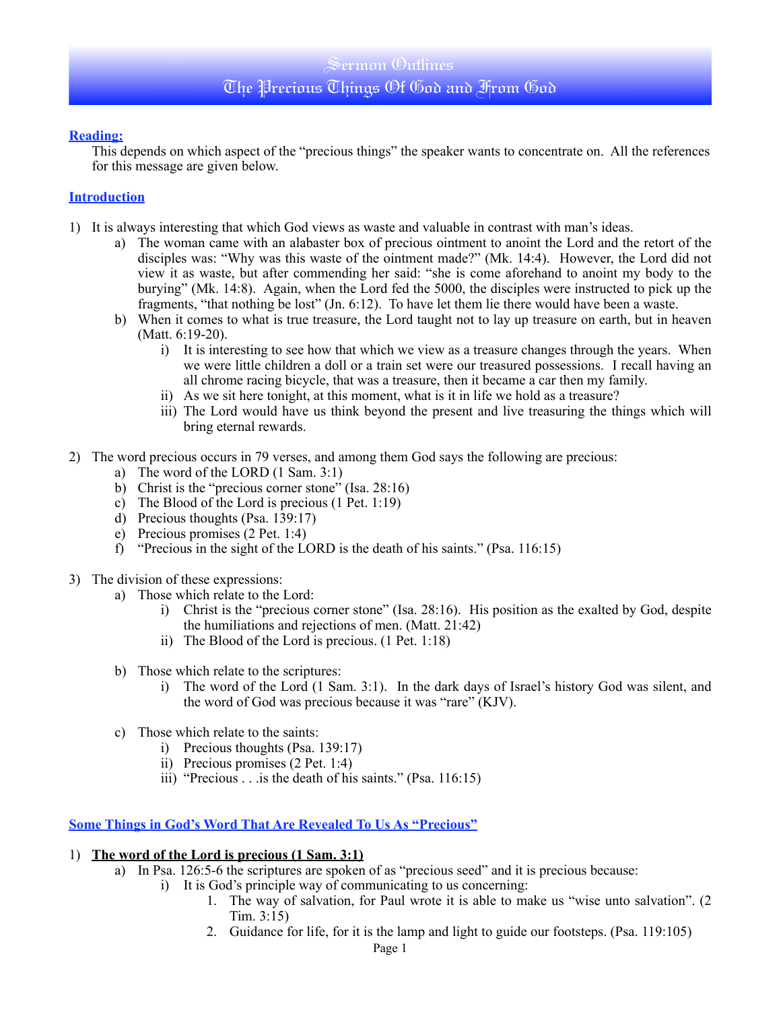## Sermon Outlines The Precious Things Of God and From God

#### **Reading:**

This depends on which aspect of the "precious things" the speaker wants to concentrate on. All the references for this message are given below.

#### **Introduction**

- 1) It is always interesting that which God views as waste and valuable in contrast with man's ideas.
	- a) The woman came with an alabaster box of precious ointment to anoint the Lord and the retort of the disciples was: "Why was this waste of the ointment made?" (Mk. 14:4). However, the Lord did not view it as waste, but after commending her said: "she is come aforehand to anoint my body to the burying" (Mk. 14:8). Again, when the Lord fed the 5000, the disciples were instructed to pick up the fragments, "that nothing be lost" (Jn. 6:12). To have let them lie there would have been a waste.
	- b) When it comes to what is true treasure, the Lord taught not to lay up treasure on earth, but in heaven (Matt. 6:19-20).
		- i) It is interesting to see how that which we view as a treasure changes through the years. When we were little children a doll or a train set were our treasured possessions. I recall having an all chrome racing bicycle, that was a treasure, then it became a car then my family.
		- ii) As we sit here tonight, at this moment, what is it in life we hold as a treasure?
		- iii) The Lord would have us think beyond the present and live treasuring the things which will bring eternal rewards.
- 2) The word precious occurs in 79 verses, and among them God says the following are precious:
	- a) The word of the LORD (1 Sam. 3:1)
	- b) Christ is the "precious corner stone" (Isa. 28:16)
	- c) The Blood of the Lord is precious (1 Pet. 1:19)
	- d) Precious thoughts (Psa. 139:17)
	- e) Precious promises (2 Pet. 1:4)
	- f) "Precious in the sight of the LORD is the death of his saints." (Psa. 116:15)
- 3) The division of these expressions:
	- a) Those which relate to the Lord:
		- i) Christ is the "precious corner stone" (Isa. 28:16). His position as the exalted by God, despite the humiliations and rejections of men. (Matt. 21:42)
		- ii) The Blood of the Lord is precious. (1 Pet. 1:18)
	- b) Those which relate to the scriptures:
		- i) The word of the Lord (1 Sam. 3:1). In the dark days of Israel's history God was silent, and the word of God was precious because it was "rare" (KJV).
	- c) Those which relate to the saints:
		- i) Precious thoughts (Psa. 139:17)
		- ii) Precious promises (2 Pet. 1:4)
		- iii) "Precious . . .is the death of his saints." (Psa. 116:15)

#### **Some Things in God's Word That Are Revealed To Us As "Precious"**

#### 1) **The word of the Lord is precious (1 Sam. 3:1)**

- a) In Psa. 126:5-6 the scriptures are spoken of as "precious seed" and it is precious because:
	- i) It is God's principle way of communicating to us concerning:
		- 1. The way of salvation, for Paul wrote it is able to make us "wise unto salvation". (2 Tim. 3:15)
		- 2. Guidance for life, for it is the lamp and light to guide our footsteps. (Psa. 119:105)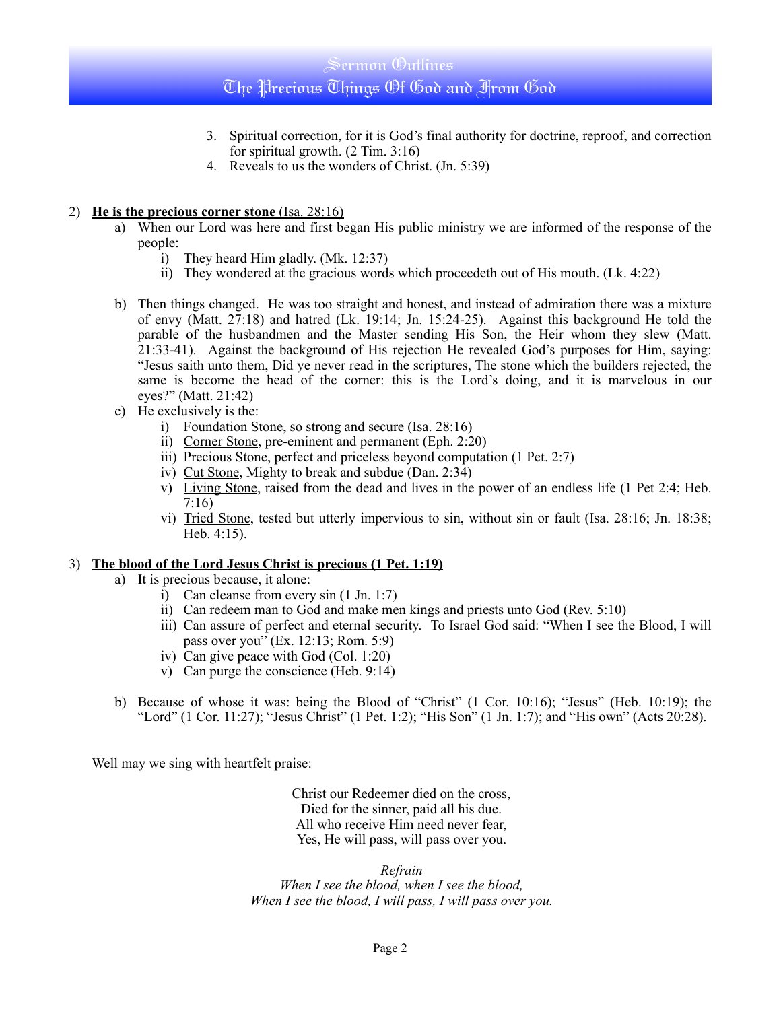### Sermon Outlines

## The Precious Things Of God and From God

- 3. Spiritual correction, for it is God's final authority for doctrine, reproof, and correction for spiritual growth. (2 Tim. 3:16)
- 4. Reveals to us the wonders of Christ. (Jn. 5:39)

#### 2) **He is the precious corner stone** (Isa. 28:16)

- a) When our Lord was here and first began His public ministry we are informed of the response of the people:
	- i) They heard Him gladly. (Mk. 12:37)
	- ii) They wondered at the gracious words which proceedeth out of His mouth. (Lk. 4:22)
- b) Then things changed. He was too straight and honest, and instead of admiration there was a mixture of envy (Matt. 27:18) and hatred (Lk. 19:14; Jn. 15:24-25). Against this background He told the parable of the husbandmen and the Master sending His Son, the Heir whom they slew (Matt. 21:33-41). Against the background of His rejection He revealed God's purposes for Him, saying: "Jesus saith unto them, Did ye never read in the scriptures, The stone which the builders rejected, the same is become the head of the corner: this is the Lord's doing, and it is marvelous in our eyes?" (Matt. 21:42)
- c) He exclusively is the:
	- i) Foundation Stone, so strong and secure (Isa. 28:16)
	- ii) Corner Stone, pre-eminent and permanent (Eph. 2:20)
	- iii) Precious Stone, perfect and priceless beyond computation (1 Pet. 2:7)
	- iv) Cut Stone, Mighty to break and subdue (Dan. 2:34)
	- v) Living Stone, raised from the dead and lives in the power of an endless life (1 Pet 2:4; Heb. 7:16)
	- vi) Tried Stone, tested but utterly impervious to sin, without sin or fault (Isa. 28:16; Jn. 18:38; Heb. 4:15).

#### 3) **The blood of the Lord Jesus Christ is precious (1 Pet. 1:19)**

- a) It is precious because, it alone:
	- i) Can cleanse from every sin (1 Jn. 1:7)
	- ii) Can redeem man to God and make men kings and priests unto God (Rev. 5:10)
	- iii) Can assure of perfect and eternal security. To Israel God said: "When I see the Blood, I will pass over you" (Ex. 12:13; Rom. 5:9)
	- iv) Can give peace with God (Col. 1:20)
	- v) Can purge the conscience (Heb. 9:14)
- b) Because of whose it was: being the Blood of "Christ" (1 Cor. 10:16); "Jesus" (Heb. 10:19); the "Lord" (1 Cor. 11:27); "Jesus Christ" (1 Pet. 1:2); "His Son" (1 Jn. 1:7); and "His own" (Acts 20:28).

Well may we sing with heartfelt praise:

Christ our Redeemer died on the cross, Died for the sinner, paid all his due. All who receive Him need never fear, Yes, He will pass, will pass over you.

*Refrain When I see the blood, when I see the blood, When I see the blood, I will pass, I will pass over you.*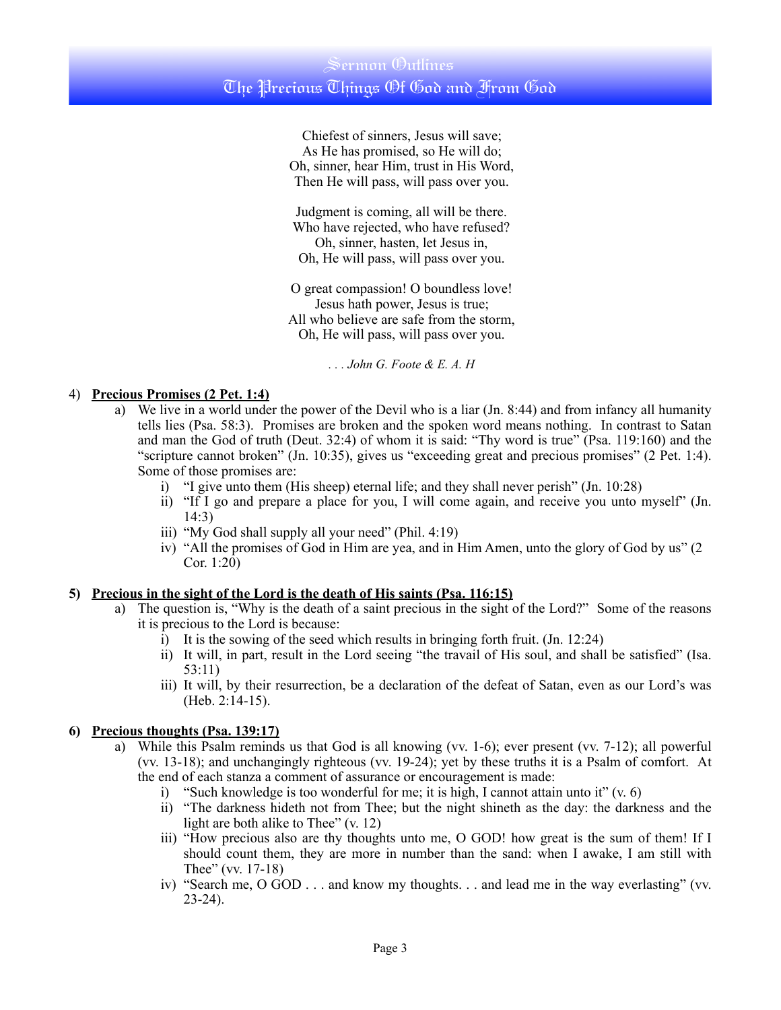Chiefest of sinners, Jesus will save; As He has promised, so He will do; Oh, sinner, hear Him, trust in His Word, Then He will pass, will pass over you.

Judgment is coming, all will be there. Who have rejected, who have refused? Oh, sinner, hasten, let Jesus in, Oh, He will pass, will pass over you.

O great compassion! O boundless love! Jesus hath power, Jesus is true; All who believe are safe from the storm, Oh, He will pass, will pass over you.

*. . . John G. Foote & E. A. H*

#### 4) **Precious Promises (2 Pet. 1:4)**

- a) We live in a world under the power of the Devil who is a liar (Jn. 8:44) and from infancy all humanity tells lies (Psa. 58:3). Promises are broken and the spoken word means nothing. In contrast to Satan and man the God of truth (Deut. 32:4) of whom it is said: "Thy word is true" (Psa. 119:160) and the "scripture cannot broken" (Jn. 10:35), gives us "exceeding great and precious promises" (2 Pet. 1:4). Some of those promises are:
	- i) "I give unto them (His sheep) eternal life; and they shall never perish" (Jn. 10:28)
	- ii) "If I go and prepare a place for you, I will come again, and receive you unto myself" (Jn. 14:3)
	- iii) "My God shall supply all your need" (Phil. 4:19)
	- iv) "All the promises of God in Him are yea, and in Him Amen, unto the glory of God by us" (2 Cor. 1:20)

#### **5) Precious in the sight of the Lord is the death of His saints (Psa. 116:15)**

- a) The question is, "Why is the death of a saint precious in the sight of the Lord?" Some of the reasons it is precious to the Lord is because:
	- i) It is the sowing of the seed which results in bringing forth fruit. (Jn. 12:24)
	- ii) It will, in part, result in the Lord seeing "the travail of His soul, and shall be satisfied" (Isa. 53:11)
	- iii) It will, by their resurrection, be a declaration of the defeat of Satan, even as our Lord's was (Heb. 2:14-15).

#### **6) Precious thoughts (Psa. 139:17)**

- a) While this Psalm reminds us that God is all knowing (vv. 1-6); ever present (vv. 7-12); all powerful (vv. 13-18); and unchangingly righteous (vv. 19-24); yet by these truths it is a Psalm of comfort. At the end of each stanza a comment of assurance or encouragement is made:
	- i) "Such knowledge is too wonderful for me; it is high, I cannot attain unto it"  $(v. 6)$
	- ii) "The darkness hideth not from Thee; but the night shineth as the day: the darkness and the light are both alike to Thee" (v. 12)
	- iii) "How precious also are thy thoughts unto me, O GOD! how great is the sum of them! If I should count them, they are more in number than the sand: when I awake, I am still with Thee" (vv. 17-18)
	- iv) "Search me, O GOD . . . and know my thoughts. . . and lead me in the way everlasting" (vv. 23-24).